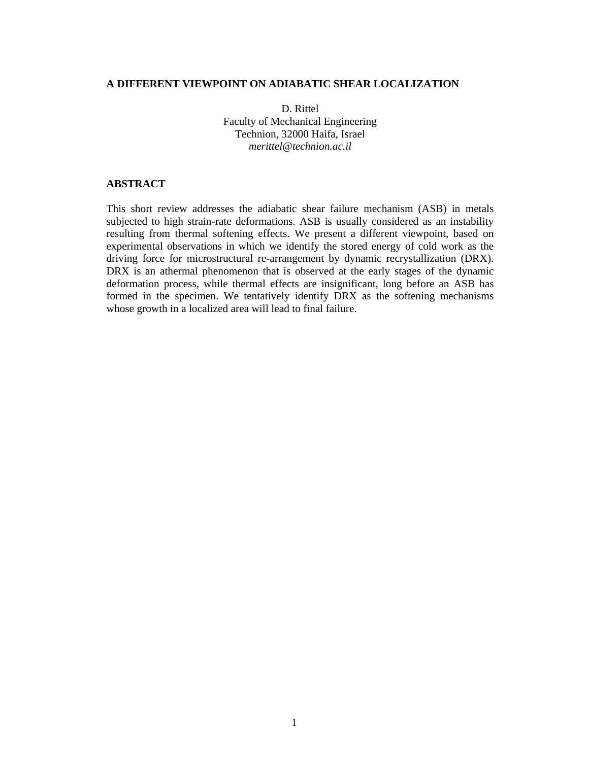### **A DIFFERENT VIEWPOINT ON ADIABATIC SHEAR LOCALIZATION**

D. Rittel Faculty of Mechanical Engineering Technion, 32000 Haifa, Israel *merittel@technion.ac.il* 

## **ABSTRACT**

This short review addresses the adiabatic shear failure mechanism (ASB) in metals subjected to high strain-rate deformations. ASB is usually considered as an instability resulting from thermal softening effects. We present a different viewpoint, based on experimental observations in which we identify the stored energy of cold work as the driving force for microstructural re-arrangement by dynamic recrystallization (DRX). DRX is an athermal phenomenon that is observed at the early stages of the dynamic deformation process, while thermal effects are insignificant, long before an ASB has formed in the specimen. We tentatively identify DRX as the softening mechanisms whose growth in a localized area will lead to final failure.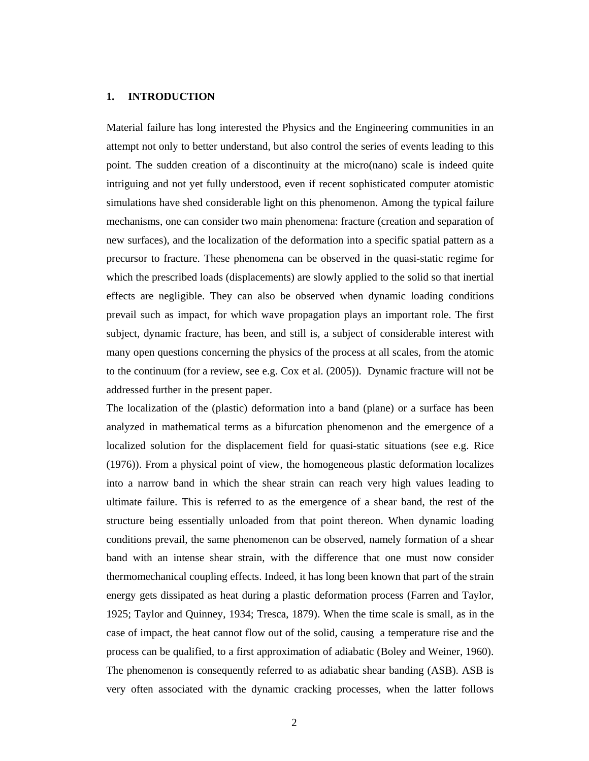#### **1. INTRODUCTION**

Material failure has long interested the Physics and the Engineering communities in an attempt not only to better understand, but also control the series of events leading to this point. The sudden creation of a discontinuity at the micro(nano) scale is indeed quite intriguing and not yet fully understood, even if recent sophisticated computer atomistic simulations have shed considerable light on this phenomenon. Among the typical failure mechanisms, one can consider two main phenomena: fracture (creation and separation of new surfaces), and the localization of the deformation into a specific spatial pattern as a precursor to fracture. These phenomena can be observed in the quasi-static regime for which the prescribed loads (displacements) are slowly applied to the solid so that inertial effects are negligible. They can also be observed when dynamic loading conditions prevail such as impact, for which wave propagation plays an important role. The first subject, dynamic fracture, has been, and still is, a subject of considerable interest with many open questions concerning the physics of the process at all scales, from the atomic to the continuum (for a review, see e.g. Cox et al. (2005)). Dynamic fracture will not be addressed further in the present paper.

The localization of the (plastic) deformation into a band (plane) or a surface has been analyzed in mathematical terms as a bifurcation phenomenon and the emergence of a localized solution for the displacement field for quasi-static situations (see e.g. Rice (1976)). From a physical point of view, the homogeneous plastic deformation localizes into a narrow band in which the shear strain can reach very high values leading to ultimate failure. This is referred to as the emergence of a shear band, the rest of the structure being essentially unloaded from that point thereon. When dynamic loading conditions prevail, the same phenomenon can be observed, namely formation of a shear band with an intense shear strain, with the difference that one must now consider thermomechanical coupling effects. Indeed, it has long been known that part of the strain energy gets dissipated as heat during a plastic deformation process (Farren and Taylor, 1925; Taylor and Quinney, 1934; Tresca, 1879). When the time scale is small, as in the case of impact, the heat cannot flow out of the solid, causing a temperature rise and the process can be qualified, to a first approximation of adiabatic (Boley and Weiner, 1960). The phenomenon is consequently referred to as adiabatic shear banding (ASB). ASB is very often associated with the dynamic cracking processes, when the latter follows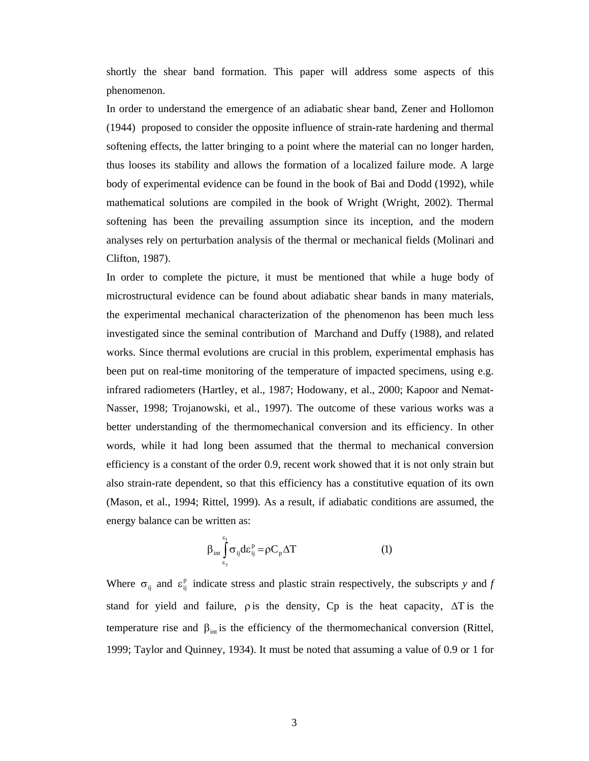shortly the shear band formation. This paper will address some aspects of this phenomenon.

In order to understand the emergence of an adiabatic shear band, Zener and Hollomon (1944) proposed to consider the opposite influence of strain-rate hardening and thermal softening effects, the latter bringing to a point where the material can no longer harden, thus looses its stability and allows the formation of a localized failure mode. A large body of experimental evidence can be found in the book of Bai and Dodd (1992), while mathematical solutions are compiled in the book of Wright (Wright, 2002). Thermal softening has been the prevailing assumption since its inception, and the modern analyses rely on perturbation analysis of the thermal or mechanical fields (Molinari and Clifton, 1987).

In order to complete the picture, it must be mentioned that while a huge body of microstructural evidence can be found about adiabatic shear bands in many materials, the experimental mechanical characterization of the phenomenon has been much less investigated since the seminal contribution of Marchand and Duffy (1988), and related works. Since thermal evolutions are crucial in this problem, experimental emphasis has been put on real-time monitoring of the temperature of impacted specimens, using e.g. infrared radiometers (Hartley, et al., 1987; Hodowany, et al., 2000; Kapoor and Nemat-Nasser, 1998; Trojanowski, et al., 1997). The outcome of these various works was a better understanding of the thermomechanical conversion and its efficiency. In other words, while it had long been assumed that the thermal to mechanical conversion efficiency is a constant of the order 0.9, recent work showed that it is not only strain but also strain-rate dependent, so that this efficiency has a constitutive equation of its own (Mason, et al., 1994; Rittel, 1999). As a result, if adiabatic conditions are assumed, the energy balance can be written as:

$$
\beta_{int} \int_{\epsilon_y}^{\epsilon_f} \sigma_{ij} d\varepsilon_{ij}^p = \rho C_p \Delta T \tag{1}
$$

Where  $\sigma_{ij}$  and  $\epsilon_{ij}^p$  indicate stress and plastic strain respectively, the subscripts *y* and *f* stand for yield and failure,  $\rho$  is the density, Cp is the heat capacity,  $\Delta T$  is the temperature rise and  $\beta_{int}$  is the efficiency of the thermomechanical conversion (Rittel, 1999; Taylor and Quinney, 1934). It must be noted that assuming a value of 0.9 or 1 for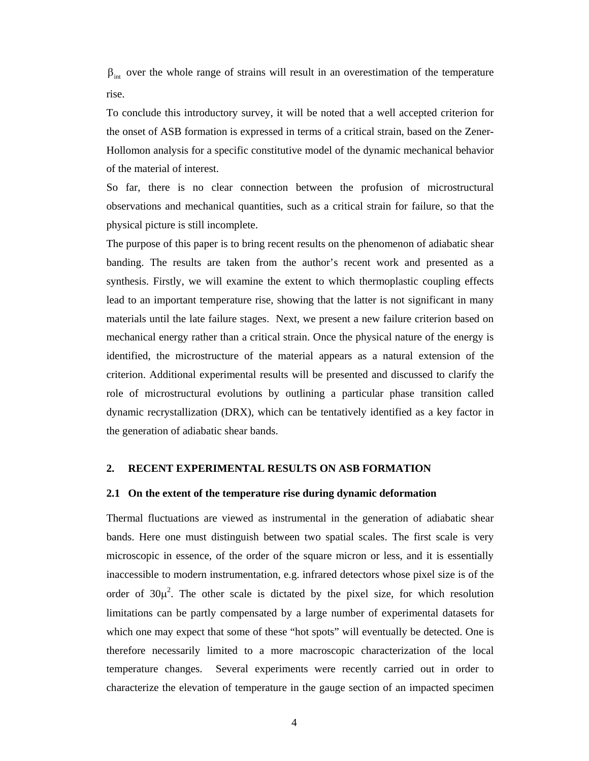$β<sub>int</sub>$  over the whole range of strains will result in an overestimation of the temperature rise.

To conclude this introductory survey, it will be noted that a well accepted criterion for the onset of ASB formation is expressed in terms of a critical strain, based on the Zener-Hollomon analysis for a specific constitutive model of the dynamic mechanical behavior of the material of interest.

So far, there is no clear connection between the profusion of microstructural observations and mechanical quantities, such as a critical strain for failure, so that the physical picture is still incomplete.

The purpose of this paper is to bring recent results on the phenomenon of adiabatic shear banding. The results are taken from the author's recent work and presented as a synthesis. Firstly, we will examine the extent to which thermoplastic coupling effects lead to an important temperature rise, showing that the latter is not significant in many materials until the late failure stages. Next, we present a new failure criterion based on mechanical energy rather than a critical strain. Once the physical nature of the energy is identified, the microstructure of the material appears as a natural extension of the criterion. Additional experimental results will be presented and discussed to clarify the role of microstructural evolutions by outlining a particular phase transition called dynamic recrystallization (DRX), which can be tentatively identified as a key factor in the generation of adiabatic shear bands.

#### **2. RECENT EXPERIMENTAL RESULTS ON ASB FORMATION**

#### **2.1 On the extent of the temperature rise during dynamic deformation**

Thermal fluctuations are viewed as instrumental in the generation of adiabatic shear bands. Here one must distinguish between two spatial scales. The first scale is very microscopic in essence, of the order of the square micron or less, and it is essentially inaccessible to modern instrumentation, e.g. infrared detectors whose pixel size is of the order of  $30\mu^2$ . The other scale is dictated by the pixel size, for which resolution limitations can be partly compensated by a large number of experimental datasets for which one may expect that some of these "hot spots" will eventually be detected. One is therefore necessarily limited to a more macroscopic characterization of the local temperature changes. Several experiments were recently carried out in order to characterize the elevation of temperature in the gauge section of an impacted specimen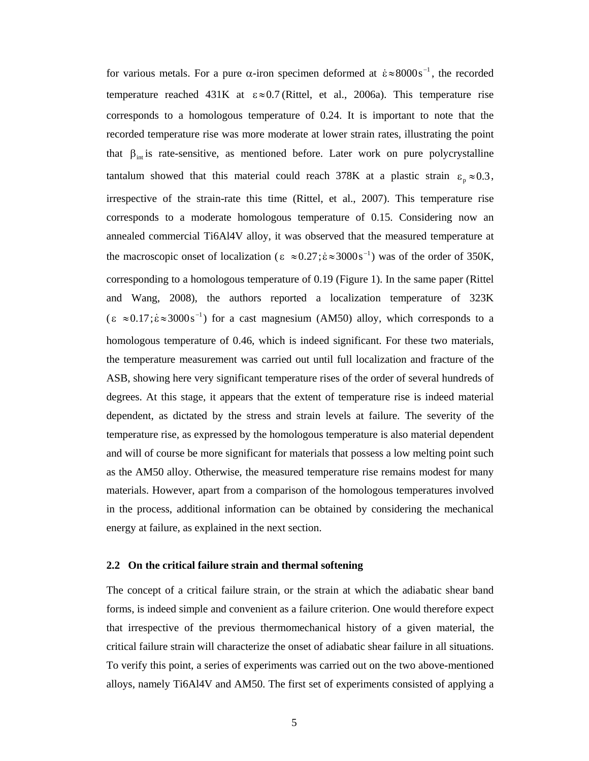for various metals. For a pure  $\alpha$ -iron specimen deformed at  $\dot{\epsilon} \approx 8000 \,\mathrm{s}^{-1}$ , the recorded temperature reached 431K at  $\varepsilon \approx 0.7$  (Rittel, et al., 2006a). This temperature rise corresponds to a homologous temperature of 0.24. It is important to note that the recorded temperature rise was more moderate at lower strain rates, illustrating the point that  $\beta_{int}$  is rate-sensitive, as mentioned before. Later work on pure polycrystalline tantalum showed that this material could reach 378K at a plastic strain  $\varepsilon_n \approx 0.3$ , irrespective of the strain-rate this time (Rittel, et al., 2007). This temperature rise corresponds to a moderate homologous temperature of 0.15. Considering now an annealed commercial Ti6Al4V alloy, it was observed that the measured temperature at the macroscopic onset of localization ( $\epsilon \approx 0.27$ ;  $\epsilon \approx 3000$ s<sup>-1</sup>) was of the order of 350K, corresponding to a homologous temperature of 0.19 (Figure 1). In the same paper (Rittel and Wang, 2008), the authors reported a localization temperature of 323K ( $\epsilon \approx 0.17$ ;  $\dot{\epsilon} \approx 3000$ s<sup>-1</sup>) for a cast magnesium (AM50) alloy, which corresponds to a homologous temperature of 0.46, which is indeed significant. For these two materials, the temperature measurement was carried out until full localization and fracture of the ASB, showing here very significant temperature rises of the order of several hundreds of degrees. At this stage, it appears that the extent of temperature rise is indeed material dependent, as dictated by the stress and strain levels at failure. The severity of the temperature rise, as expressed by the homologous temperature is also material dependent and will of course be more significant for materials that possess a low melting point such as the AM50 alloy. Otherwise, the measured temperature rise remains modest for many materials. However, apart from a comparison of the homologous temperatures involved in the process, additional information can be obtained by considering the mechanical energy at failure, as explained in the next section.

#### **2.2 On the critical failure strain and thermal softening**

The concept of a critical failure strain, or the strain at which the adiabatic shear band forms, is indeed simple and convenient as a failure criterion. One would therefore expect that irrespective of the previous thermomechanical history of a given material, the critical failure strain will characterize the onset of adiabatic shear failure in all situations. To verify this point, a series of experiments was carried out on the two above-mentioned alloys, namely Ti6Al4V and AM50. The first set of experiments consisted of applying a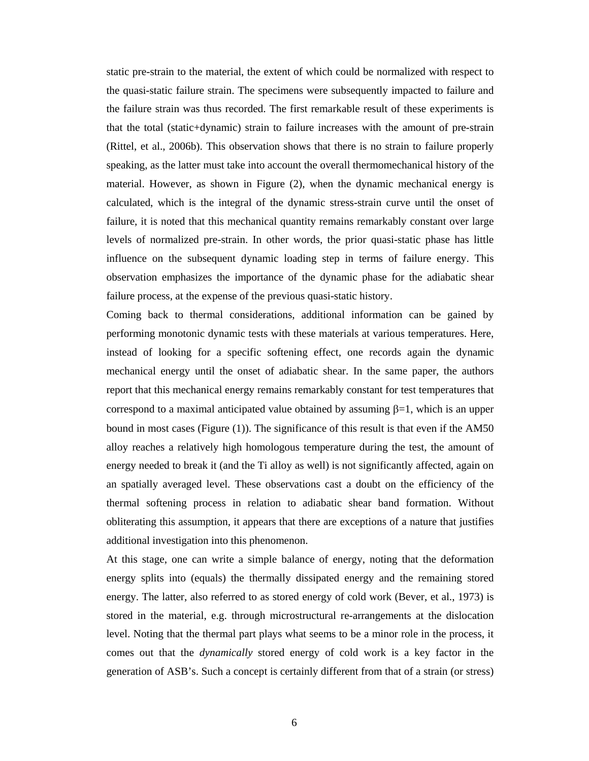static pre-strain to the material, the extent of which could be normalized with respect to the quasi-static failure strain. The specimens were subsequently impacted to failure and the failure strain was thus recorded. The first remarkable result of these experiments is that the total (static+dynamic) strain to failure increases with the amount of pre-strain (Rittel, et al., 2006b). This observation shows that there is no strain to failure properly speaking, as the latter must take into account the overall thermomechanical history of the material. However, as shown in Figure (2), when the dynamic mechanical energy is calculated, which is the integral of the dynamic stress-strain curve until the onset of failure, it is noted that this mechanical quantity remains remarkably constant over large levels of normalized pre-strain. In other words, the prior quasi-static phase has little influence on the subsequent dynamic loading step in terms of failure energy. This observation emphasizes the importance of the dynamic phase for the adiabatic shear failure process, at the expense of the previous quasi-static history.

Coming back to thermal considerations, additional information can be gained by performing monotonic dynamic tests with these materials at various temperatures. Here, instead of looking for a specific softening effect, one records again the dynamic mechanical energy until the onset of adiabatic shear. In the same paper, the authors report that this mechanical energy remains remarkably constant for test temperatures that correspond to a maximal anticipated value obtained by assuming  $\beta=1$ , which is an upper bound in most cases (Figure (1)). The significance of this result is that even if the AM50 alloy reaches a relatively high homologous temperature during the test, the amount of energy needed to break it (and the Ti alloy as well) is not significantly affected, again on an spatially averaged level. These observations cast a doubt on the efficiency of the thermal softening process in relation to adiabatic shear band formation. Without obliterating this assumption, it appears that there are exceptions of a nature that justifies additional investigation into this phenomenon.

At this stage, one can write a simple balance of energy, noting that the deformation energy splits into (equals) the thermally dissipated energy and the remaining stored energy. The latter, also referred to as stored energy of cold work (Bever, et al., 1973) is stored in the material, e.g. through microstructural re-arrangements at the dislocation level. Noting that the thermal part plays what seems to be a minor role in the process, it comes out that the *dynamically* stored energy of cold work is a key factor in the generation of ASB's. Such a concept is certainly different from that of a strain (or stress)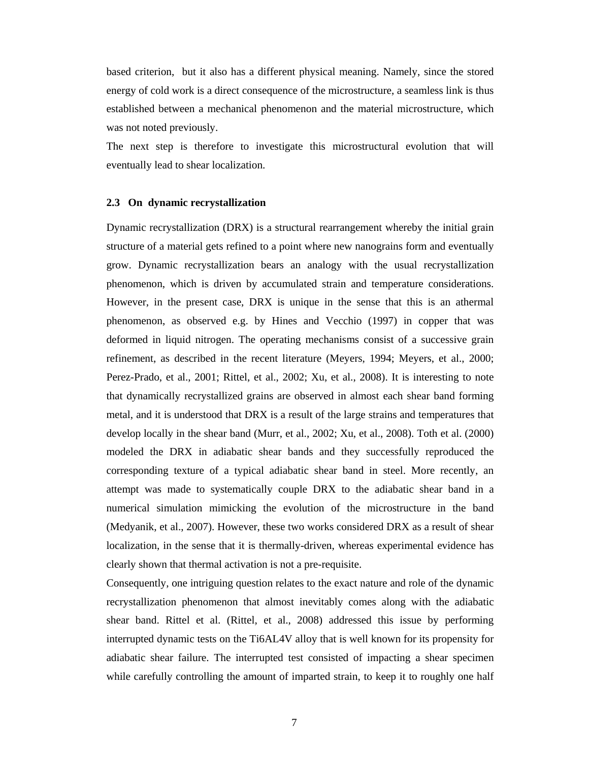based criterion, but it also has a different physical meaning. Namely, since the stored energy of cold work is a direct consequence of the microstructure, a seamless link is thus established between a mechanical phenomenon and the material microstructure, which was not noted previously.

The next step is therefore to investigate this microstructural evolution that will eventually lead to shear localization.

#### **2.3 On dynamic recrystallization**

Dynamic recrystallization (DRX) is a structural rearrangement whereby the initial grain structure of a material gets refined to a point where new nanograins form and eventually grow. Dynamic recrystallization bears an analogy with the usual recrystallization phenomenon, which is driven by accumulated strain and temperature considerations. However, in the present case, DRX is unique in the sense that this is an athermal phenomenon, as observed e.g. by Hines and Vecchio (1997) in copper that was deformed in liquid nitrogen. The operating mechanisms consist of a successive grain refinement, as described in the recent literature (Meyers, 1994; Meyers, et al., 2000; Perez-Prado, et al., 2001; Rittel, et al., 2002; Xu, et al., 2008). It is interesting to note that dynamically recrystallized grains are observed in almost each shear band forming metal, and it is understood that DRX is a result of the large strains and temperatures that develop locally in the shear band (Murr, et al., 2002; Xu, et al., 2008). Toth et al. (2000) modeled the DRX in adiabatic shear bands and they successfully reproduced the corresponding texture of a typical adiabatic shear band in steel. More recently, an attempt was made to systematically couple DRX to the adiabatic shear band in a numerical simulation mimicking the evolution of the microstructure in the band (Medyanik, et al., 2007). However, these two works considered DRX as a result of shear localization, in the sense that it is thermally-driven, whereas experimental evidence has clearly shown that thermal activation is not a pre-requisite.

Consequently, one intriguing question relates to the exact nature and role of the dynamic recrystallization phenomenon that almost inevitably comes along with the adiabatic shear band. Rittel et al. (Rittel, et al., 2008) addressed this issue by performing interrupted dynamic tests on the Ti6AL4V alloy that is well known for its propensity for adiabatic shear failure. The interrupted test consisted of impacting a shear specimen while carefully controlling the amount of imparted strain, to keep it to roughly one half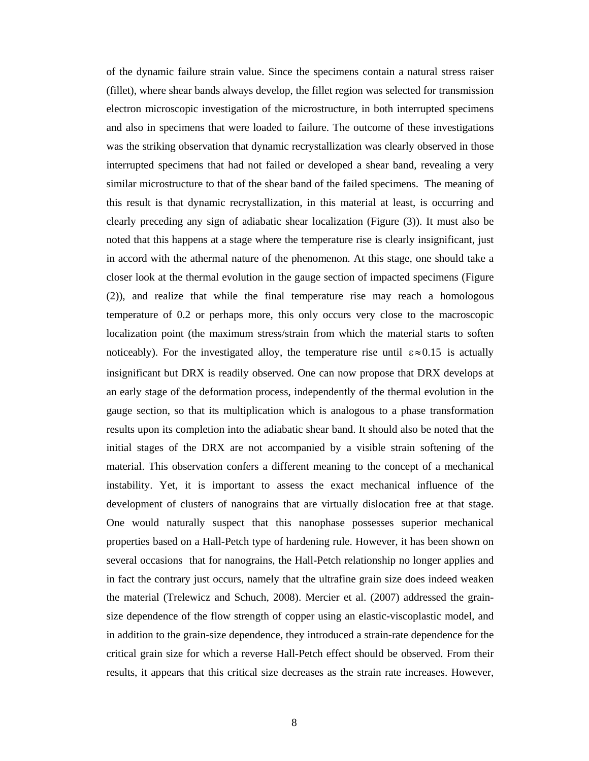of the dynamic failure strain value. Since the specimens contain a natural stress raiser (fillet), where shear bands always develop, the fillet region was selected for transmission electron microscopic investigation of the microstructure, in both interrupted specimens and also in specimens that were loaded to failure. The outcome of these investigations was the striking observation that dynamic recrystallization was clearly observed in those interrupted specimens that had not failed or developed a shear band, revealing a very similar microstructure to that of the shear band of the failed specimens. The meaning of this result is that dynamic recrystallization, in this material at least, is occurring and clearly preceding any sign of adiabatic shear localization (Figure (3)). It must also be noted that this happens at a stage where the temperature rise is clearly insignificant, just in accord with the athermal nature of the phenomenon. At this stage, one should take a closer look at the thermal evolution in the gauge section of impacted specimens (Figure (2)), and realize that while the final temperature rise may reach a homologous temperature of 0.2 or perhaps more, this only occurs very close to the macroscopic localization point (the maximum stress/strain from which the material starts to soften noticeably). For the investigated alloy, the temperature rise until  $\epsilon \approx 0.15$  is actually insignificant but DRX is readily observed. One can now propose that DRX develops at an early stage of the deformation process, independently of the thermal evolution in the gauge section, so that its multiplication which is analogous to a phase transformation results upon its completion into the adiabatic shear band. It should also be noted that the initial stages of the DRX are not accompanied by a visible strain softening of the material. This observation confers a different meaning to the concept of a mechanical instability. Yet, it is important to assess the exact mechanical influence of the development of clusters of nanograins that are virtually dislocation free at that stage. One would naturally suspect that this nanophase possesses superior mechanical properties based on a Hall-Petch type of hardening rule. However, it has been shown on several occasions that for nanograins, the Hall-Petch relationship no longer applies and in fact the contrary just occurs, namely that the ultrafine grain size does indeed weaken the material (Trelewicz and Schuch, 2008). Mercier et al. (2007) addressed the grainsize dependence of the flow strength of copper using an elastic-viscoplastic model, and in addition to the grain-size dependence, they introduced a strain-rate dependence for the critical grain size for which a reverse Hall-Petch effect should be observed. From their results, it appears that this critical size decreases as the strain rate increases. However,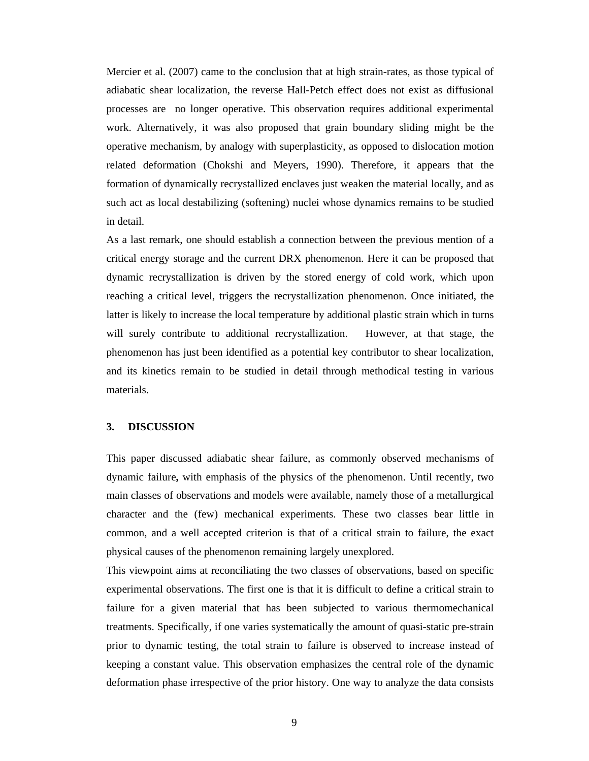Mercier et al. (2007) came to the conclusion that at high strain-rates, as those typical of adiabatic shear localization, the reverse Hall-Petch effect does not exist as diffusional processes are no longer operative. This observation requires additional experimental work. Alternatively, it was also proposed that grain boundary sliding might be the operative mechanism, by analogy with superplasticity, as opposed to dislocation motion related deformation (Chokshi and Meyers, 1990). Therefore, it appears that the formation of dynamically recrystallized enclaves just weaken the material locally, and as such act as local destabilizing (softening) nuclei whose dynamics remains to be studied in detail.

As a last remark, one should establish a connection between the previous mention of a critical energy storage and the current DRX phenomenon. Here it can be proposed that dynamic recrystallization is driven by the stored energy of cold work, which upon reaching a critical level, triggers the recrystallization phenomenon. Once initiated, the latter is likely to increase the local temperature by additional plastic strain which in turns will surely contribute to additional recrystallization. However, at that stage, the phenomenon has just been identified as a potential key contributor to shear localization, and its kinetics remain to be studied in detail through methodical testing in various materials.

# **3. DISCUSSION**

This paper discussed adiabatic shear failure, as commonly observed mechanisms of dynamic failure**,** with emphasis of the physics of the phenomenon. Until recently, two main classes of observations and models were available, namely those of a metallurgical character and the (few) mechanical experiments. These two classes bear little in common, and a well accepted criterion is that of a critical strain to failure, the exact physical causes of the phenomenon remaining largely unexplored.

This viewpoint aims at reconciliating the two classes of observations, based on specific experimental observations. The first one is that it is difficult to define a critical strain to failure for a given material that has been subjected to various thermomechanical treatments. Specifically, if one varies systematically the amount of quasi-static pre-strain prior to dynamic testing, the total strain to failure is observed to increase instead of keeping a constant value. This observation emphasizes the central role of the dynamic deformation phase irrespective of the prior history. One way to analyze the data consists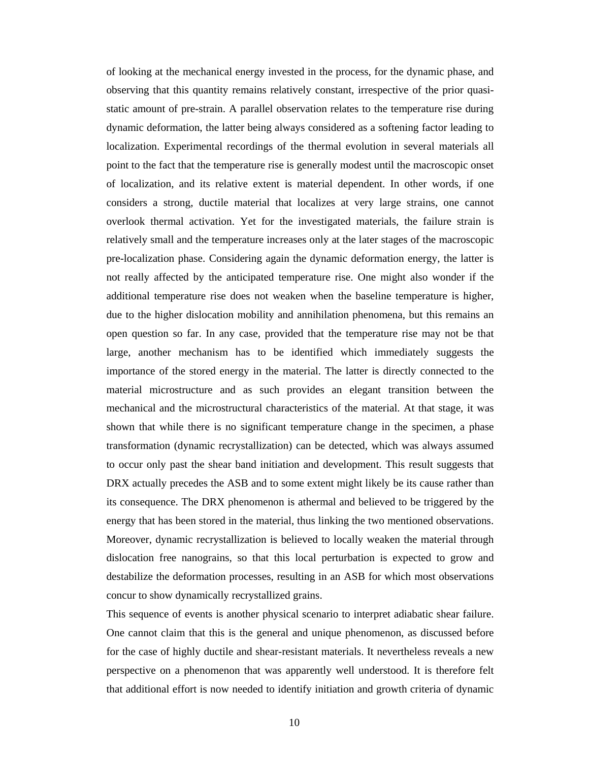of looking at the mechanical energy invested in the process, for the dynamic phase, and observing that this quantity remains relatively constant, irrespective of the prior quasistatic amount of pre-strain. A parallel observation relates to the temperature rise during dynamic deformation, the latter being always considered as a softening factor leading to localization. Experimental recordings of the thermal evolution in several materials all point to the fact that the temperature rise is generally modest until the macroscopic onset of localization, and its relative extent is material dependent. In other words, if one considers a strong, ductile material that localizes at very large strains, one cannot overlook thermal activation. Yet for the investigated materials, the failure strain is relatively small and the temperature increases only at the later stages of the macroscopic pre-localization phase. Considering again the dynamic deformation energy, the latter is not really affected by the anticipated temperature rise. One might also wonder if the additional temperature rise does not weaken when the baseline temperature is higher, due to the higher dislocation mobility and annihilation phenomena, but this remains an open question so far. In any case, provided that the temperature rise may not be that large, another mechanism has to be identified which immediately suggests the importance of the stored energy in the material. The latter is directly connected to the material microstructure and as such provides an elegant transition between the mechanical and the microstructural characteristics of the material. At that stage, it was shown that while there is no significant temperature change in the specimen, a phase transformation (dynamic recrystallization) can be detected, which was always assumed to occur only past the shear band initiation and development. This result suggests that DRX actually precedes the ASB and to some extent might likely be its cause rather than its consequence. The DRX phenomenon is athermal and believed to be triggered by the energy that has been stored in the material, thus linking the two mentioned observations. Moreover, dynamic recrystallization is believed to locally weaken the material through dislocation free nanograins, so that this local perturbation is expected to grow and destabilize the deformation processes, resulting in an ASB for which most observations concur to show dynamically recrystallized grains.

This sequence of events is another physical scenario to interpret adiabatic shear failure. One cannot claim that this is the general and unique phenomenon, as discussed before for the case of highly ductile and shear-resistant materials. It nevertheless reveals a new perspective on a phenomenon that was apparently well understood. It is therefore felt that additional effort is now needed to identify initiation and growth criteria of dynamic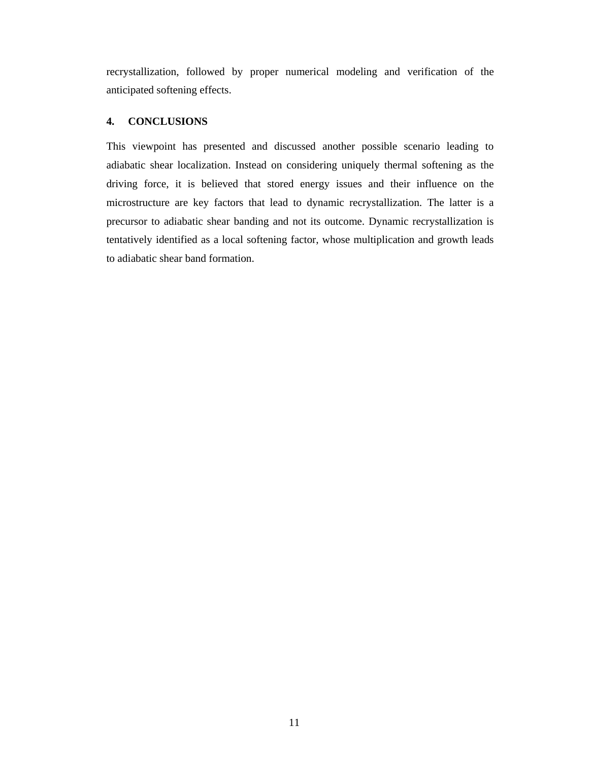recrystallization, followed by proper numerical modeling and verification of the anticipated softening effects.

# **4. CONCLUSIONS**

This viewpoint has presented and discussed another possible scenario leading to adiabatic shear localization. Instead on considering uniquely thermal softening as the driving force, it is believed that stored energy issues and their influence on the microstructure are key factors that lead to dynamic recrystallization. The latter is a precursor to adiabatic shear banding and not its outcome. Dynamic recrystallization is tentatively identified as a local softening factor, whose multiplication and growth leads to adiabatic shear band formation.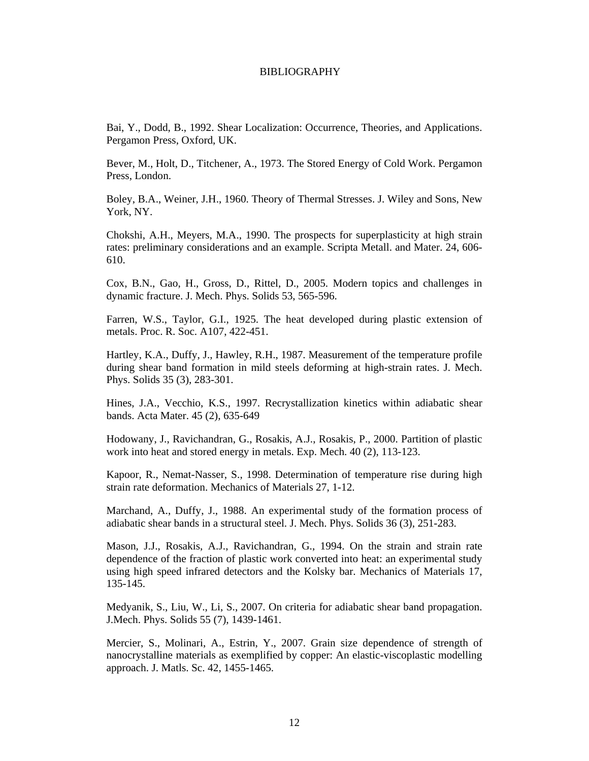### BIBLIOGRAPHY

Bai, Y., Dodd, B., 1992. Shear Localization: Occurrence, Theories, and Applications. Pergamon Press, Oxford, UK.

Bever, M., Holt, D., Titchener, A., 1973. The Stored Energy of Cold Work. Pergamon Press, London.

Boley, B.A., Weiner, J.H., 1960. Theory of Thermal Stresses. J. Wiley and Sons, New York, NY.

Chokshi, A.H., Meyers, M.A., 1990. The prospects for superplasticity at high strain rates: preliminary considerations and an example. Scripta Metall. and Mater. 24, 606- 610.

Cox, B.N., Gao, H., Gross, D., Rittel, D., 2005. Modern topics and challenges in dynamic fracture. J. Mech. Phys. Solids 53, 565-596.

Farren, W.S., Taylor, G.I., 1925. The heat developed during plastic extension of metals. Proc. R. Soc. A107, 422-451.

Hartley, K.A., Duffy, J., Hawley, R.H., 1987. Measurement of the temperature profile during shear band formation in mild steels deforming at high-strain rates. J. Mech. Phys. Solids 35 (3), 283-301.

Hines, J.A., Vecchio, K.S., 1997. Recrystallization kinetics within adiabatic shear bands. Acta Mater. 45 (2), 635-649

Hodowany, J., Ravichandran, G., Rosakis, A.J., Rosakis, P., 2000. Partition of plastic work into heat and stored energy in metals. Exp. Mech. 40 (2), 113-123.

Kapoor, R., Nemat-Nasser, S., 1998. Determination of temperature rise during high strain rate deformation. Mechanics of Materials 27, 1-12.

Marchand, A., Duffy, J., 1988. An experimental study of the formation process of adiabatic shear bands in a structural steel. J. Mech. Phys. Solids 36 (3), 251-283.

Mason, J.J., Rosakis, A.J., Ravichandran, G., 1994. On the strain and strain rate dependence of the fraction of plastic work converted into heat: an experimental study using high speed infrared detectors and the Kolsky bar. Mechanics of Materials 17, 135-145.

Medyanik, S., Liu, W., Li, S., 2007. On criteria for adiabatic shear band propagation. J.Mech. Phys. Solids 55 (7), 1439-1461.

Mercier, S., Molinari, A., Estrin, Y., 2007. Grain size dependence of strength of nanocrystalline materials as exemplified by copper: An elastic-viscoplastic modelling approach. J. Matls. Sc. 42, 1455-1465.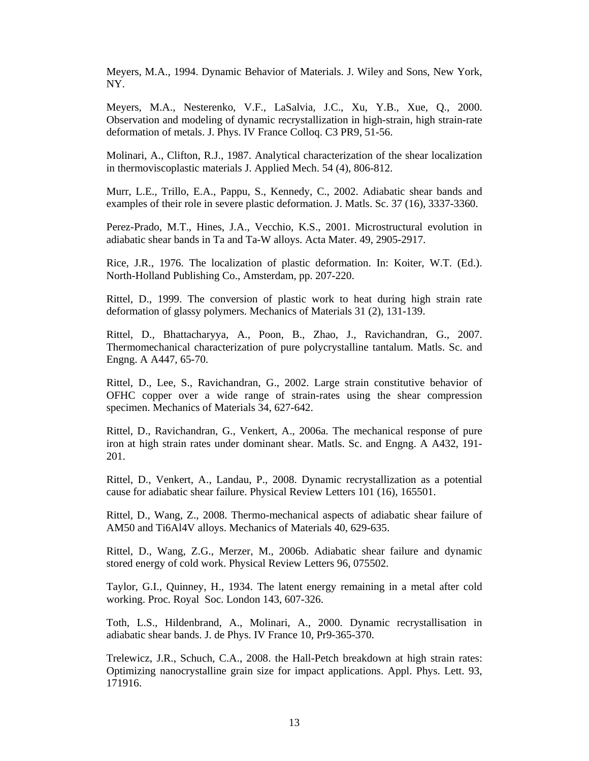Meyers, M.A., 1994. Dynamic Behavior of Materials. J. Wiley and Sons, New York, NY.

Meyers, M.A., Nesterenko, V.F., LaSalvia, J.C., Xu, Y.B., Xue, Q., 2000. Observation and modeling of dynamic recrystallization in high-strain, high strain-rate deformation of metals. J. Phys. IV France Colloq. C3 PR9, 51-56.

Molinari, A., Clifton, R.J., 1987. Analytical characterization of the shear localization in thermoviscoplastic materials J. Applied Mech. 54 (4), 806-812.

Murr, L.E., Trillo, E.A., Pappu, S., Kennedy, C., 2002. Adiabatic shear bands and examples of their role in severe plastic deformation. J. Matls. Sc. 37 (16), 3337-3360.

Perez-Prado, M.T., Hines, J.A., Vecchio, K.S., 2001. Microstructural evolution in adiabatic shear bands in Ta and Ta-W alloys. Acta Mater. 49, 2905-2917.

Rice, J.R., 1976. The localization of plastic deformation. In: Koiter, W.T. (Ed.). North-Holland Publishing Co., Amsterdam, pp. 207-220.

Rittel, D., 1999. The conversion of plastic work to heat during high strain rate deformation of glassy polymers. Mechanics of Materials 31 (2), 131-139.

Rittel, D., Bhattacharyya, A., Poon, B., Zhao, J., Ravichandran, G., 2007. Thermomechanical characterization of pure polycrystalline tantalum. Matls. Sc. and Engng. A A447, 65-70.

Rittel, D., Lee, S., Ravichandran, G., 2002. Large strain constitutive behavior of OFHC copper over a wide range of strain-rates using the shear compression specimen. Mechanics of Materials 34, 627-642.

Rittel, D., Ravichandran, G., Venkert, A., 2006a. The mechanical response of pure iron at high strain rates under dominant shear. Matls. Sc. and Engng. A A432, 191- 201.

Rittel, D., Venkert, A., Landau, P., 2008. Dynamic recrystallization as a potential cause for adiabatic shear failure. Physical Review Letters 101 (16), 165501.

Rittel, D., Wang, Z., 2008. Thermo-mechanical aspects of adiabatic shear failure of AM50 and Ti6Al4V alloys. Mechanics of Materials 40, 629-635.

Rittel, D., Wang, Z.G., Merzer, M., 2006b. Adiabatic shear failure and dynamic stored energy of cold work. Physical Review Letters 96, 075502.

Taylor, G.I., Quinney, H., 1934. The latent energy remaining in a metal after cold working. Proc. Royal Soc. London 143, 607-326.

Toth, L.S., Hildenbrand, A., Molinari, A., 2000. Dynamic recrystallisation in adiabatic shear bands. J. de Phys. IV France 10, Pr9-365-370.

Trelewicz, J.R., Schuch, C.A., 2008. the Hall-Petch breakdown at high strain rates: Optimizing nanocrystalline grain size for impact applications. Appl. Phys. Lett. 93, 171916.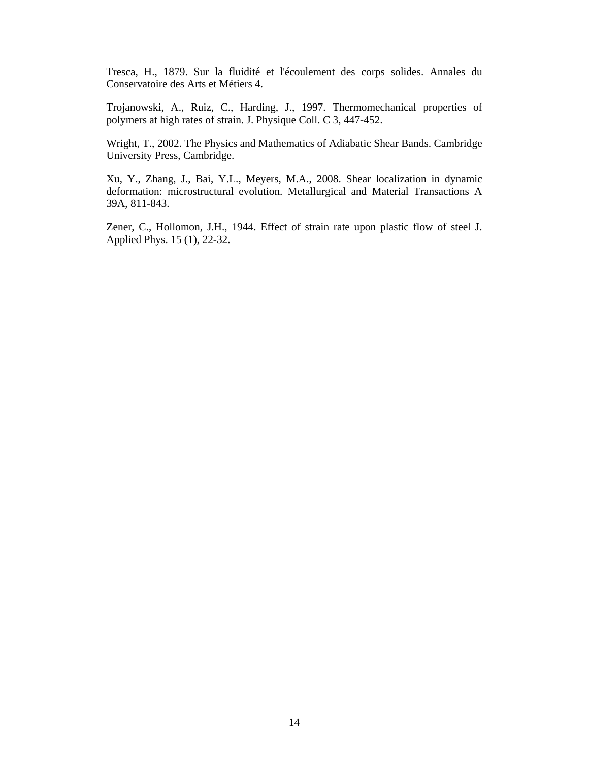Tresca, H., 1879. Sur la fluidité et l'écoulement des corps solides. Annales du Conservatoire des Arts et Métiers 4.

Trojanowski, A., Ruiz, C., Harding, J., 1997. Thermomechanical properties of polymers at high rates of strain. J. Physique Coll. C 3, 447-452.

Wright, T., 2002. The Physics and Mathematics of Adiabatic Shear Bands. Cambridge University Press, Cambridge.

Xu, Y., Zhang, J., Bai, Y.L., Meyers, M.A., 2008. Shear localization in dynamic deformation: microstructural evolution. Metallurgical and Material Transactions A 39A, 811-843.

Zener, C., Hollomon, J.H., 1944. Effect of strain rate upon plastic flow of steel J. Applied Phys. 15 (1), 22-32.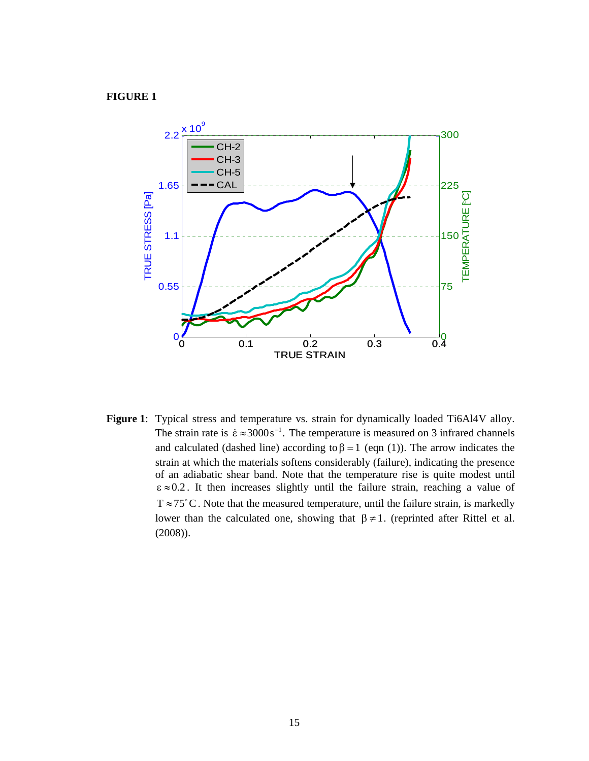# **FIGURE 1**



**Figure 1**: Typical stress and temperature vs. strain for dynamically loaded Ti6Al4V alloy. The strain rate is  $\dot{\epsilon} \approx 3000 \,\mathrm{s}^{-1}$ . The temperature is measured on 3 infrared channels and calculated (dashed line) according to  $\beta = 1$  (eqn (1)). The arrow indicates the strain at which the materials softens considerably (failure), indicating the presence of an adiabatic shear band. Note that the temperature rise is quite modest until  $\epsilon \approx 0.2$ . It then increases slightly until the failure strain, reaching a value of  $T \approx 75$ °C. Note that the measured temperature, until the failure strain, is markedly lower than the calculated one, showing that  $\beta \neq 1$ . (reprinted after Rittel et al. (2008)).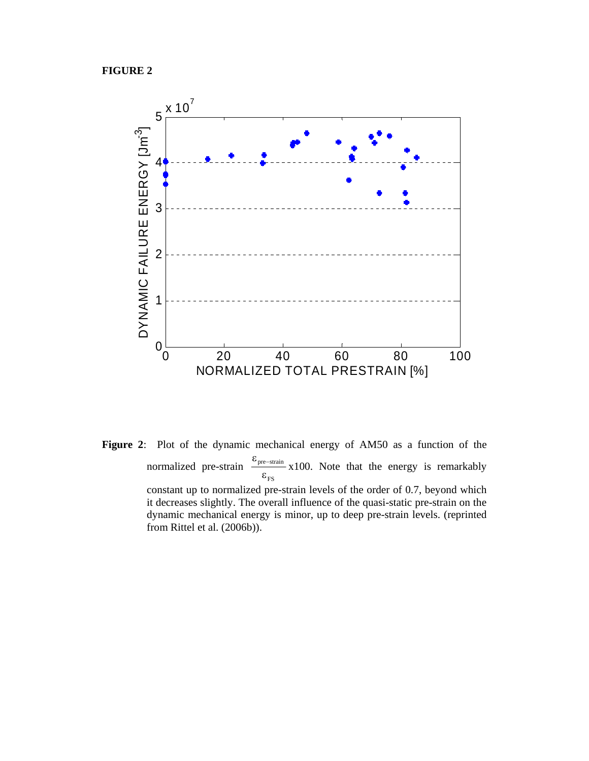# **FIGURE 2**



**Figure 2**: Plot of the dynamic mechanical energy of AM50 as a function of the normalized pre-strain FS pre-strain ε  $\varepsilon_{\text{pre-strain}}$  x100. Note that the energy is remarkably constant up to normalized pre-strain levels of the order of 0.7, beyond which it decreases slightly. The overall influence of the quasi-static pre-strain on the dynamic mechanical energy is minor, up to deep pre-strain levels. (reprinted

from Rittel et al. (2006b)).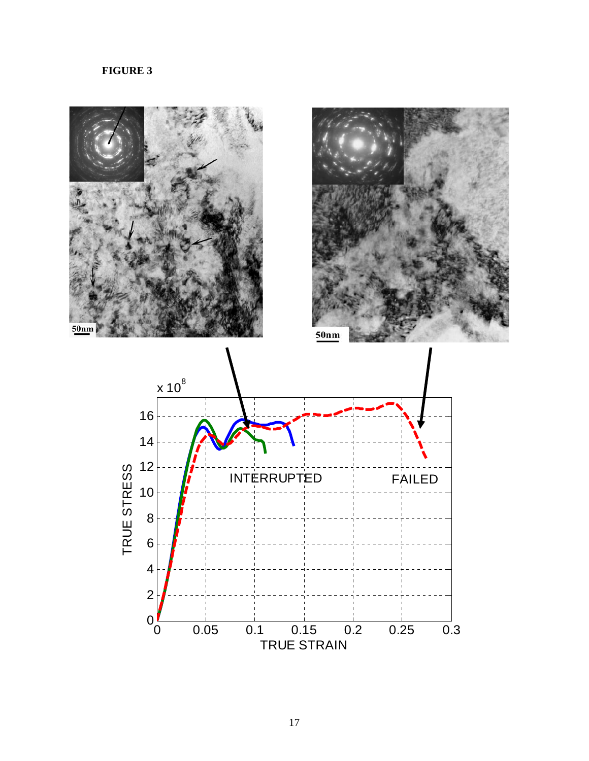# **FIGURE 3**

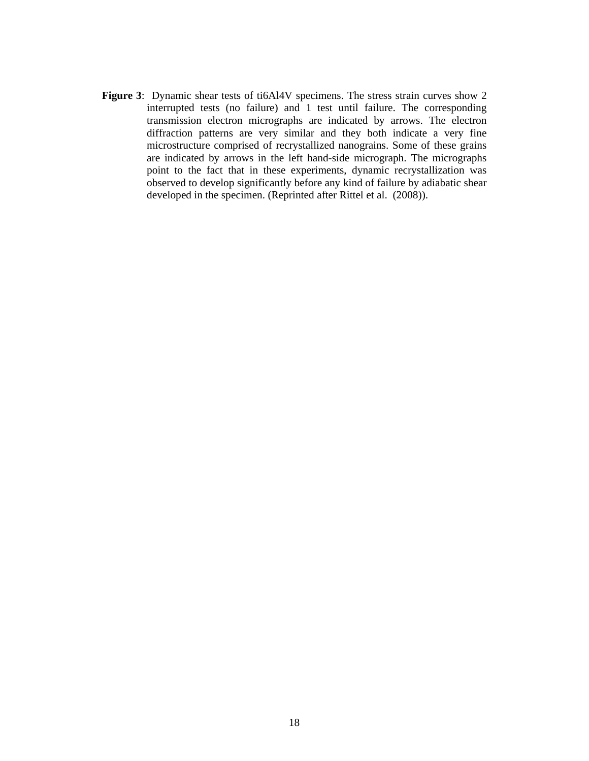**Figure 3**: Dynamic shear tests of ti6Al4V specimens. The stress strain curves show 2 interrupted tests (no failure) and 1 test until failure. The corresponding transmission electron micrographs are indicated by arrows. The electron diffraction patterns are very similar and they both indicate a very fine microstructure comprised of recrystallized nanograins. Some of these grains are indicated by arrows in the left hand-side micrograph. The micrographs point to the fact that in these experiments, dynamic recrystallization was observed to develop significantly before any kind of failure by adiabatic shear developed in the specimen. (Reprinted after Rittel et al. (2008)).